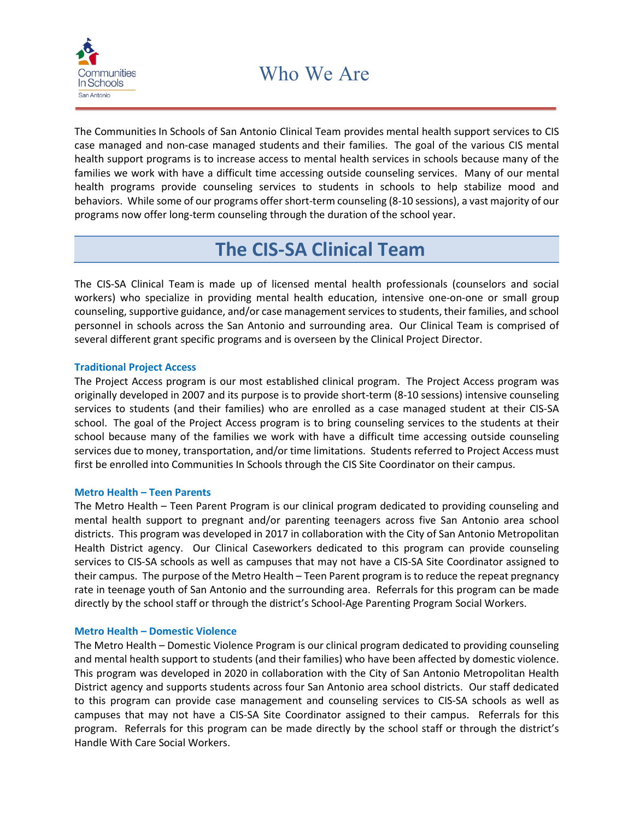

The Communities In Schools of San Antonio Clinical Team provides mental health support services to CIS case managed and non-case managed students and their families. The goal of the various CIS mental health support programs is to increase access to mental health services in schools because many of the families we work with have a difficult time accessing outside counseling services. Many of our mental health programs provide counseling services to students in schools to help stabilize mood and behaviors. While some of our programs offer short-term counseling (8-10 sessions), a vast majority of our programs now offer long-term counseling through the duration of the school year.

# **The CIS-SA Clinical Team**

The CIS-SA Clinical Team is made up of licensed mental health professionals (counselors and social workers) who specialize in providing mental health education, intensive one-on-one or small group counseling, supportive guidance, and/or case management services to students, their families, and school personnel in schools across the San Antonio and surrounding area. Our Clinical Team is comprised of several different grant specific programs and is overseen by the Clinical Project Director.

## **Traditional Project Access**

The Project Access program is our most established clinical program. The Project Access program was originally developed in 2007 and its purpose is to provide short-term (8-10 sessions) intensive counseling services to students (and their families) who are enrolled as a case managed student at their CIS-SA school. The goal of the Project Access program is to bring counseling services to the students at their school because many of the families we work with have a difficult time accessing outside counseling services due to money, transportation, and/or time limitations. Students referred to Project Access must first be enrolled into Communities In Schools through the CIS Site Coordinator on their campus.

### **Metro Health – Teen Parents**

The Metro Health – Teen Parent Program is our clinical program dedicated to providing counseling and mental health support to pregnant and/or parenting teenagers across five San Antonio area school districts. This program was developed in 2017 in collaboration with the City of San Antonio Metropolitan Health District agency. Our Clinical Caseworkers dedicated to this program can provide counseling services to CIS-SA schools as well as campuses that may not have a CIS-SA Site Coordinator assigned to their campus. The purpose of the Metro Health – Teen Parent program is to reduce the repeat pregnancy rate in teenage youth of San Antonio and the surrounding area. Referrals for this program can be made directly by the school staff or through the district's School-Age Parenting Program Social Workers.

## **Metro Health – Domestic Violence**

The Metro Health – Domestic Violence Program is our clinical program dedicated to providing counseling and mental health support to students (and their families) who have been affected by domestic violence. This program was developed in 2020 in collaboration with the City of San Antonio Metropolitan Health District agency and supports students across four San Antonio area school districts. Our staff dedicated to this program can provide case management and counseling services to CIS-SA schools as well as campuses that may not have a CIS-SA Site Coordinator assigned to their campus. Referrals for this program. Referrals for this program can be made directly by the school staff or through the district's Handle With Care Social Workers.